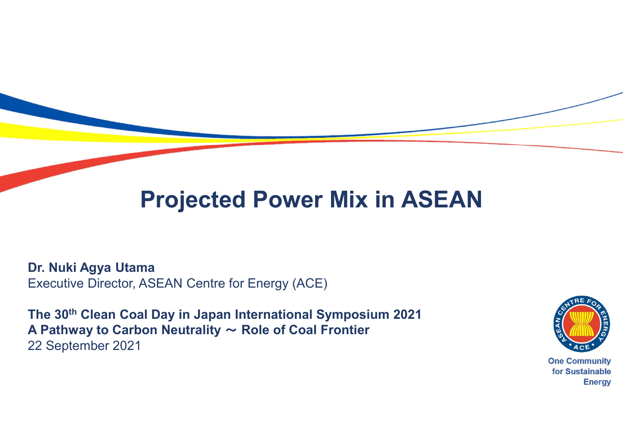## Projected Power Mix in ASEAN

Dr. Nuki Agya Utama Executive Director, ASEAN Centre for Energy (ACE)

The 30th Clean Coal Day in Japan International Symposium 2021 A Pathway to Carbon Neutrality  $\sim$  Role of Coal Frontier 22 September 2021



**Energy**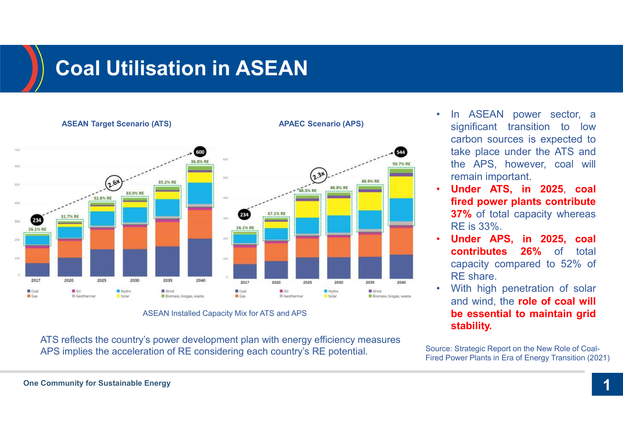# Coal Utilisation in ASEAN



- In ASEAN power sector, a<br>significant transition to low<br>carbon sources is expected to<br>take place under the ATS and<br>the APS however seed will In ASEAN power sector, a<br>significant transition to low<br>carbon sources is expected to<br>take place under the ATS and<br>the APS, however, coal will In ASEAN power sector, a<br>significant transition to low<br>carbon sources is expected to<br>take place under the ATS and<br>the APS, however, coal will<br>remain important. In ASEAN power sector, a<br>significant transition to low<br>carbon sources is expected to<br>take place under the ATS and<br>the APS, however, coal will<br>remain important.<br>**Under ATS, in 2025, coal** In ASEAN power sector, a<br>significant transition to low<br>carbon sources is expected to<br>take place under the ATS and<br>the APS, however, coal will<br>remain important.<br>**Under ATS, in 2025, coal<br>fired power plants contribute FREAN power sector, a**<br>significant transition to low<br>carbon sources is expected to<br>take place under the ATS and<br>the APS, however, coal will<br>remain important.<br>**Under ATS, in 2025, coal<br>fired power plants contribute<br>37% of** In ASEAN power sector, a<br>significant transition to low<br>carbon sources is expected to<br>take place under the ATS and<br>the APS, however, coal will<br>remain important.<br>**Under ATS, in 2025, coal<br>fired power plants contribute**<br>37% o In ASEAN power sector, a<br>significant transition to low<br>carbon sources is expected to<br>take place under the ATS and<br>the APS, however, coal will<br>remain important.<br>**Under ATS, in 2025, coal<br>fired power plants contribute**<br>37% o • In ASEAN power sector, a<br>significant transition to low<br>carbon sources is expected to<br>take place under the ATS and<br>the APS, however, coal will<br>remain important.<br>**Under ATS, in 2025, coal<br>fired power plants contribute<br>37%** In ASEAN power sector, a<br>significant transition to low<br>carbon sources is expected to<br>take place under the ATS and<br>the APS, however, coal will<br>remain important.<br>**Under ATS, in 2025, coal<br>fired power plants contribute**<br>**37%** In ASEAN power sector, a<br>significant transition to low<br>carbon sources is expected to<br>take place under the ATS and<br>the APS, however, coal will<br>remain important.<br>**Under ATS, in 2025, coal<br>fired power plants contribute**<br>**37%** In ASEAN power sector, a<br>significant transition to low<br>carbon sources is expected to<br>take place under the ATS and<br>the APS, however, coal will<br>remain important.<br>**Under ATS, in 2025, coal**<br>**fired power plants contribute**<br>37% • In ASEAN power sector, a<br>significant transition to low<br>carbon sources is expected to<br>take place under the ATS and<br>the APS, however, coal will<br>remain important.<br>**Under ATS, in 2025, coal**<br>**fired power plants contribute<br>37** In ASEAN power sector, a<br>significant transition to low<br>carbon sources is expected to<br>take place under the ATS and<br>the APS, however, coal will<br>remain important.<br>**Under ATS, in 2025, coal**<br>**fired power plants contribute**<br>**37** significant transition to low<br>carbon sources is expected to<br>take place under the ATS and<br>the APS, however, coal will<br>remain important.<br>**Under ATS, in 2025, coal**<br>**fired power plants contribute**<br>**37%** of total capacity wher
- 
- 
- ASEAN Installed Capacity Mix for ATS and APS **Example 20 and APS** and APS **be essential to maintain grid** stability.

Source: Strategic Report on the New Role of Coal-Fired Power Plants in Era of Energy Transition (2021)

**One Community for Sustainable Energy**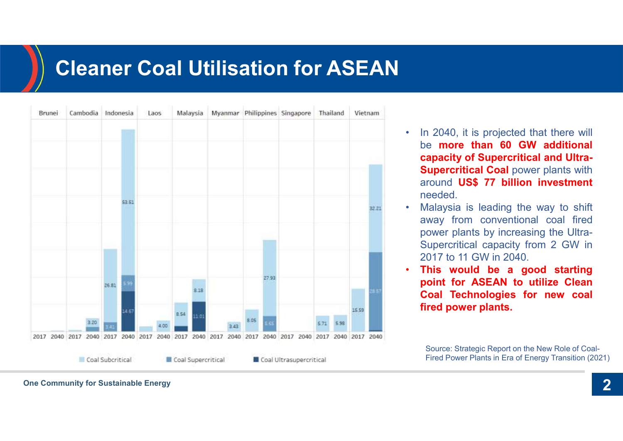### Cleaner Coal Utilisation for ASEAN

| Brunei | Cambodia |                          | Indonesia |           | Laos |      | Malaysia |      | Myanmar Philippines Singapore           |       |                          |      | Thailand | Vietnam |        |
|--------|----------|--------------------------|-----------|-----------|------|------|----------|------|-----------------------------------------|-------|--------------------------|------|----------|---------|--------|
|        |          |                          |           | \$3.51    |      |      |          |      |                                         |       |                          |      |          |         | 32.21  |
|        |          |                          | 26.81     | 5.99      |      |      | 8.18     |      |                                         | 27.93 |                          |      |          |         | 26 S.T |
|        |          | 3.20                     | 日期        | 14.57     | 4.00 | 8.54 | 11 01    | 3.43 | 8.05                                    | 6.66  |                          | 5.71 | 5.98     | 15 59   |        |
|        |          | 2017 2040 2017 2040 2017 |           | 2040 2017 |      |      |          |      | 2040 2017 2040 2017 2040 2017 2040 2017 |       | 2040 2017 2040 2017 2040 |      |          |         |        |

- In 2040, it is projected that there will<br>be **more than 60 GW additional**<br>capacity of Supercritical and Ultra-<br>Supercritical Coal power plants with<br>scaund US\$ 77 billion, invoctment In 2040, it is projected that there will<br>be **more than 60 GW additional**<br>capacity of Supercritical and Ultra-<br>Supercritical Coal power plants with<br>around US\$ 77 billion investment In 2040, it is projected that there will<br>be **more than 60 GW additional**<br>capacity of Supercritical and Ultra-<br>Supercritical Coal power plants with<br>around US\$ 77 billion investment<br>needed. In 2040, it is projected that there will<br>be **more than 60 GW additional**<br>**capacity of Supercritical and Ultra-<br>Supercritical Coal** power plants with<br>around US\$ 77 billion investment<br>meeded.<br>Nalaysia is leading the way to s In 2040, it is projected that there will<br>be **more than 60 GW additional**<br>**capacity of Supercritical and Ultra-<br>Supercritical Coal** power plants with<br>around US\$ 77 billion investment<br>meeded.<br>Malaysia is leading the way to s needed. • In 2040, it is projected that there will<br>be **more than 60 GW additional**<br>**capacity of Supercritical and Ultra-<br>Supercritical Coal** power plants with<br>around US\$ 77 billion investment<br>needed.<br>Malaysia is leading the way to In 2040, it is projected that there will<br>be **more than 60 GW additional**<br>**capacity of Supercritical and Ultra-<br>Supercritical Coal** power plants with<br>around US\$ 77 billion investment<br>meeded.<br>Malaysia is leading the way to s In 2040, it is projected that there will<br>be **more than 60 GW additional**<br>**capacity of Supercritical and Ultra-<br>Supercritical Coal power plants with<br>around US\$ 77 billion investment<br>needed.<br>Malaysia is leading the way to sh** In 2040, it is projected that there will<br>be **more than 60 GW additional**<br>**capacity of Supercritical and Ultra-**<br>**Supercritical Coal** power plants with<br>around US\$ 77 billion investment<br>needed.<br>Malaysia is leading the way to **12017** In 2040, it is projected that there will<br>
be **more than 60 GW additional**<br> **capacity of Supercritical and Ultra-**<br> **Supercritical Coal** power plants with<br>
around US\$ 77 billion investment<br>
needed.<br>
• Malaysia is le In 2040, it is projected that there will<br>be **more than 60 GW additional**<br>capacity of Supercritical and Ultra-<br>Supercritical Coal power plants with<br>around US\$ 77 billion investment<br>needed.<br>Malaysia is leading the way to shi In 2040, it is projected that there will<br>be **more than 60 GW additional**<br>capacity of Supercritical and Ultra-<br>Supercritical Coal power plants with<br>around US\$ 77 billion investment<br>needed.<br>Malaysia is leading the way to shi In 2040, it is projected that there will<br>be **more than 60 GW additional**<br>**capacity of Supercritical and Ultra-**<br>**Supercritical Coal** power plants with<br>around **US\$ 77 billion investment**<br>needed.<br>Malaysia is leading the way
- 
- 

Source: Strategic Report on the New Role of Coal-Fired Power Plants in Era of Energy Transition (2021)

**2** One Community for Sustainable Energy